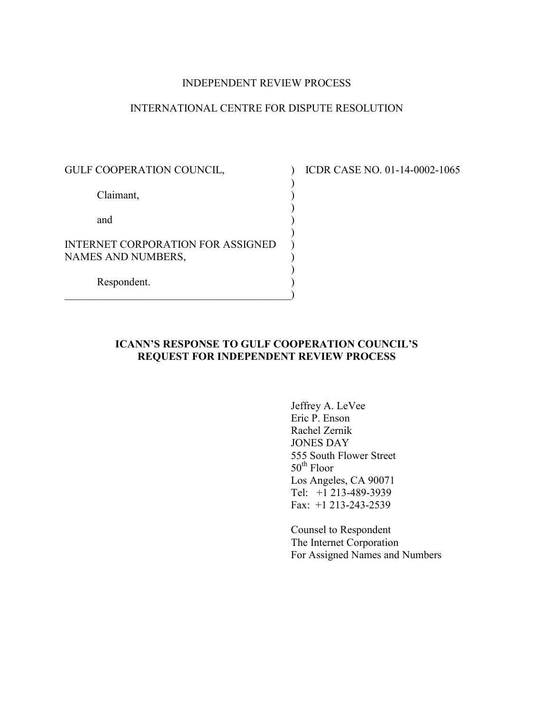### INDEPENDENT REVIEW PROCESS

# INTERNATIONAL CENTRE FOR DISPUTE RESOLUTION

GULF COOPERATION COUNCIL,  $\qquad \qquad$  ICDR CASE NO. 01-14-0002-1065 ) Claimant, (1) ) and ) ) INTERNET CORPORATION FOR ASSIGNED NAMES AND NUMBERS, ) Respondent. )  $\hspace{.5cm}$   $\hspace{.5cm}$   $\hspace{.5cm}$   $\hspace{.5cm}$   $\hspace{.5cm}$   $\hspace{.5cm}$   $\hspace{.5cm}$   $\hspace{.5cm}$   $\hspace{.5cm}$   $\hspace{.5cm}$   $\hspace{.5cm}$   $\hspace{.5cm}$   $\hspace{.5cm}$   $\hspace{.5cm}$   $\hspace{.5cm}$   $\hspace{.5cm}$   $\hspace{.5cm}$   $\hspace{.5cm}$   $\hspace{.5cm}$   $\hspace{.5cm}$ 

## **ICANN'S RESPONSE TO GULF COOPERATION COUNCIL'S REQUEST FOR INDEPENDENT REVIEW PROCESS**

Jeffrey A. LeVee Eric P. Enson Rachel Zernik JONES DAY 555 South Flower Street 50<sup>th</sup> Floor Los Angeles, CA 90071 Tel: +1 213-489-3939 Fax: +1 213-243-2539

Counsel to Respondent The Internet Corporation For Assigned Names and Numbers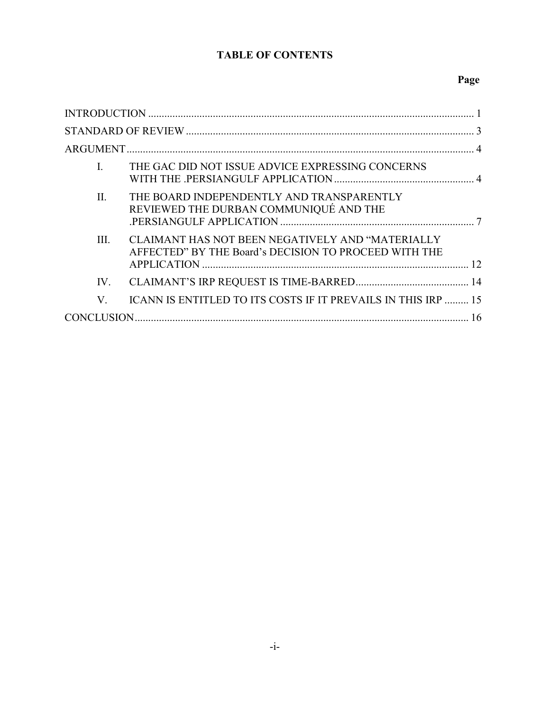# **TABLE OF CONTENTS**

# **Page**

| $\mathbf{I}$ | THE GAC DID NOT ISSUE ADVICE EXPRESSING CONCERNS                                                          |  |
|--------------|-----------------------------------------------------------------------------------------------------------|--|
| $\Pi$ .      | THE BOARD INDEPENDENTLY AND TRANSPARENTLY<br>REVIEWED THE DURBAN COMMUNIQUÉ AND THE                       |  |
| III.         | CLAIMANT HAS NOT BEEN NEGATIVELY AND "MATERIALLY<br>AFFECTED" BY THE Board's DECISION TO PROCEED WITH THE |  |
| IV.          |                                                                                                           |  |
| V.           | ICANN IS ENTITLED TO ITS COSTS IF IT PREVAILS IN THIS IRP  15                                             |  |
|              |                                                                                                           |  |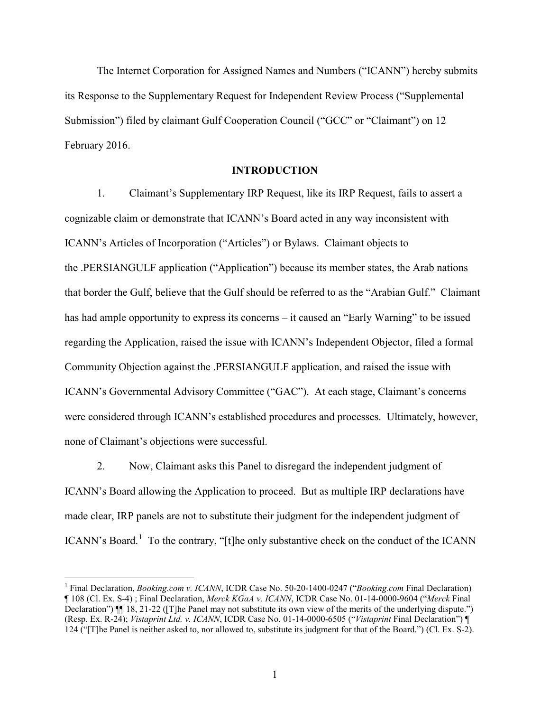The Internet Corporation for Assigned Names and Numbers ("ICANN") hereby submits its Response to the Supplementary Request for Independent Review Process ("Supplemental Submission") filed by claimant Gulf Cooperation Council ("GCC" or "Claimant") on 12 February 2016.

## **INTRODUCTION**

1. Claimant's Supplementary IRP Request, like its IRP Request, fails to assert a cognizable claim or demonstrate that ICANN's Board acted in any way inconsistent with ICANN's Articles of Incorporation ("Articles") or Bylaws. Claimant objects to the .PERSIANGULF application ("Application") because its member states, the Arab nations that border the Gulf, believe that the Gulf should be referred to as the "Arabian Gulf." Claimant has had ample opportunity to express its concerns – it caused an "Early Warning" to be issued regarding the Application, raised the issue with ICANN's Independent Objector, filed a formal Community Objection against the .PERSIANGULF application, and raised the issue with ICANN's Governmental Advisory Committee ("GAC"). At each stage, Claimant's concerns were considered through ICANN's established procedures and processes. Ultimately, however, none of Claimant's objections were successful.

2. Now, Claimant asks this Panel to disregard the independent judgment of ICANN's Board allowing the Application to proceed. But as multiple IRP declarations have made clear, IRP panels are not to substitute their judgment for the independent judgment of ICANN's Board.<sup>[1](#page-2-0)</sup> To the contrary, "[t]he only substantive check on the conduct of the ICANN

<span id="page-2-0"></span> <sup>1</sup> Final Declaration, *Booking.com v. ICANN*, ICDR Case No. 50-20-1400-0247 ("*Booking.com* Final Declaration) ¶ 108 (Cl. Ex. S-4) ; Final Declaration, *Merck KGaA v. ICANN*, ICDR Case No. 01-14-0000-9604 ("*Merck* Final Declaration")  $\P$  18, 21-22 ([T]he Panel may not substitute its own view of the merits of the underlying dispute.") (Resp. Ex. R-24); *Vistaprint Ltd. v. ICANN*, ICDR Case No. 01-14-0000-6505 ("*Vistaprint* Final Declaration") ¶ 124 ("[T]he Panel is neither asked to, nor allowed to, substitute its judgment for that of the Board.") (Cl. Ex. S-2).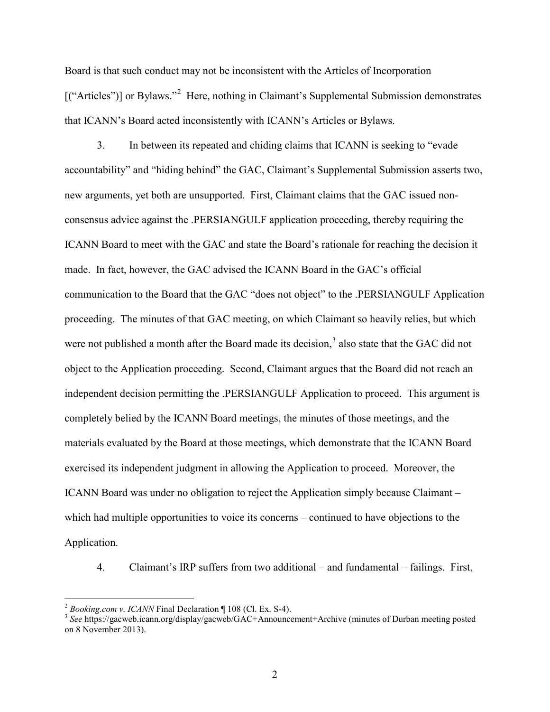Board is that such conduct may not be inconsistent with the Articles of Incorporation [("Articles")] or Bylaws."<sup>[2](#page-3-0)</sup> Here, nothing in Claimant's Supplemental Submission demonstrates that ICANN's Board acted inconsistently with ICANN's Articles or Bylaws.

3. In between its repeated and chiding claims that ICANN is seeking to "evade accountability" and "hiding behind" the GAC, Claimant's Supplemental Submission asserts two, new arguments, yet both are unsupported. First, Claimant claims that the GAC issued nonconsensus advice against the .PERSIANGULF application proceeding, thereby requiring the ICANN Board to meet with the GAC and state the Board's rationale for reaching the decision it made. In fact, however, the GAC advised the ICANN Board in the GAC's official communication to the Board that the GAC "does not object" to the .PERSIANGULF Application proceeding. The minutes of that GAC meeting, on which Claimant so heavily relies, but which were not published a month after the Board made its decision,<sup>[3](#page-3-1)</sup> also state that the GAC did not object to the Application proceeding. Second, Claimant argues that the Board did not reach an independent decision permitting the .PERSIANGULF Application to proceed. This argument is completely belied by the ICANN Board meetings, the minutes of those meetings, and the materials evaluated by the Board at those meetings, which demonstrate that the ICANN Board exercised its independent judgment in allowing the Application to proceed. Moreover, the ICANN Board was under no obligation to reject the Application simply because Claimant – which had multiple opportunities to voice its concerns – continued to have objections to the Application.

4. Claimant's IRP suffers from two additional – and fundamental – failings. First,

<span id="page-3-1"></span><span id="page-3-0"></span><sup>&</sup>lt;sup>2</sup> *Booking.com v. ICANN* Final Declaration ¶ 108 (Cl. Ex. S-4).<br><sup>3</sup> *See* https://gacweb.icann.org/display/gacweb/GAC+Announcement+Archive (minutes of Durban meeting posted on 8 November 2013).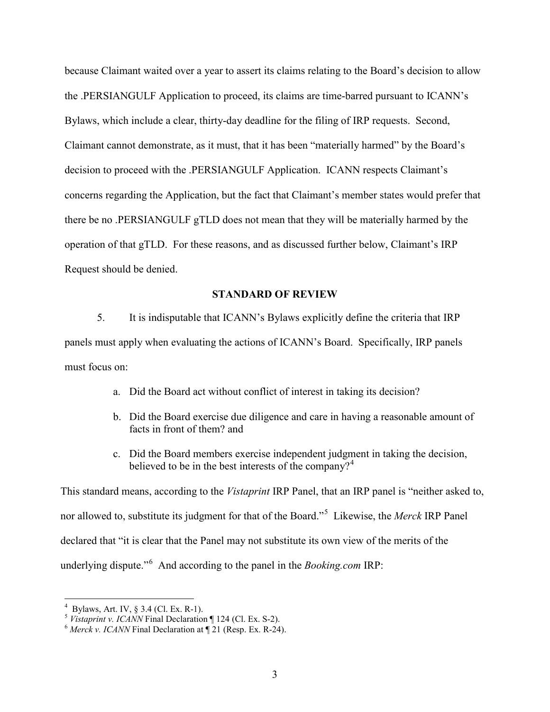because Claimant waited over a year to assert its claims relating to the Board's decision to allow the .PERSIANGULF Application to proceed, its claims are time-barred pursuant to ICANN's Bylaws, which include a clear, thirty-day deadline for the filing of IRP requests. Second, Claimant cannot demonstrate, as it must, that it has been "materially harmed" by the Board's decision to proceed with the .PERSIANGULF Application. ICANN respects Claimant's concerns regarding the Application, but the fact that Claimant's member states would prefer that there be no .PERSIANGULF gTLD does not mean that they will be materially harmed by the operation of that gTLD. For these reasons, and as discussed further below, Claimant's IRP Request should be denied.

### **STANDARD OF REVIEW**

5. It is indisputable that ICANN's Bylaws explicitly define the criteria that IRP panels must apply when evaluating the actions of ICANN's Board. Specifically, IRP panels must focus on:

- a. Did the Board act without conflict of interest in taking its decision?
- b. Did the Board exercise due diligence and care in having a reasonable amount of facts in front of them? and
- c. Did the Board members exercise independent judgment in taking the decision, believed to be in the best interests of the company?<sup>[4](#page-4-0)</sup>

This standard means, according to the *Vistaprint* IRP Panel, that an IRP panel is "neither asked to, nor allowed to, substitute its judgment for that of the Board."[5](#page-4-1) Likewise, the *Merck* IRP Panel declared that "it is clear that the Panel may not substitute its own view of the merits of the underlying dispute."[6](#page-4-2) And according to the panel in the *Booking.com* IRP:

 $\frac{1}{4}$ 

<span id="page-4-0"></span>Bylaws, Art. IV, § 3.4 (Cl. Ex. R-1). <sup>5</sup> *Vistaprint v. ICANN* Final Declaration ¶ 124 (Cl. Ex. S-2). <sup>6</sup> *Merck v. ICANN* Final Declaration at ¶ 21 (Resp. Ex. R-24).

<span id="page-4-2"></span><span id="page-4-1"></span>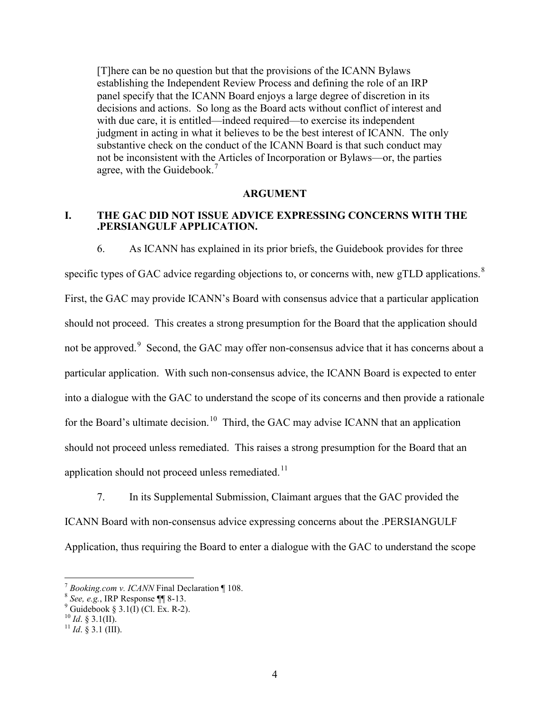[T]here can be no question but that the provisions of the ICANN Bylaws establishing the Independent Review Process and defining the role of an IRP panel specify that the ICANN Board enjoys a large degree of discretion in its decisions and actions. So long as the Board acts without conflict of interest and with due care, it is entitled—indeed required—to exercise its independent judgment in acting in what it believes to be the best interest of ICANN. The only substantive check on the conduct of the ICANN Board is that such conduct may not be inconsistent with the Articles of Incorporation or Bylaws—or, the parties agree, with the Guidebook.<sup>[7](#page-5-0)</sup>

## **ARGUMENT**

## **I. THE GAC DID NOT ISSUE ADVICE EXPRESSING CONCERNS WITH THE .PERSIANGULF APPLICATION.**

6. As ICANN has explained in its prior briefs, the Guidebook provides for three specific types of GAC advice regarding objections to, or concerns with, new gTLD applications. $8$ First, the GAC may provide ICANN's Board with consensus advice that a particular application should not proceed. This creates a strong presumption for the Board that the application should not be approved.<sup>[9](#page-5-2)</sup> Second, the GAC may offer non-consensus advice that it has concerns about a particular application. With such non-consensus advice, the ICANN Board is expected to enter into a dialogue with the GAC to understand the scope of its concerns and then provide a rationale for the Board's ultimate decision.<sup>10</sup> Third, the GAC may advise ICANN that an application should not proceed unless remediated. This raises a strong presumption for the Board that an application should not proceed unless remediated.<sup>11</sup>

7. In its Supplemental Submission, Claimant argues that the GAC provided the ICANN Board with non-consensus advice expressing concerns about the .PERSIANGULF Application, thus requiring the Board to enter a dialogue with the GAC to understand the scope

<span id="page-5-0"></span>*<sup>&</sup>lt;sup>7</sup> Booking.com v. ICANN* Final Declaration ¶ 108.<br><sup>8</sup> *See, e.g.*, IRP Response ¶¶ 8-13.<br><sup>9</sup> Guidebook § 3.1(I) (Cl. Ex. R-2). <sup>10</sup> *Id.* § 3.1(II). <sup>11</sup> *Id.* § 3.1 (III).

<span id="page-5-1"></span>

<span id="page-5-2"></span>

<span id="page-5-4"></span><span id="page-5-3"></span>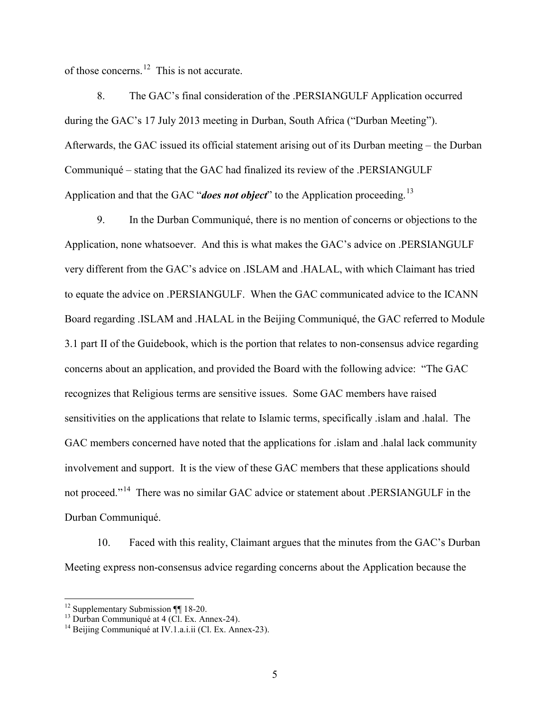of those concerns.<sup>12</sup> This is not accurate.

8. The GAC's final consideration of the .PERSIANGULF Application occurred during the GAC's 17 July 2013 meeting in Durban, South Africa ("Durban Meeting"). Afterwards, the GAC issued its official statement arising out of its Durban meeting – the Durban Communiqué – stating that the GAC had finalized its review of the .PERSIANGULF Application and that the GAC "*does not object*" to the Application proceeding.<sup>13</sup>

9. In the Durban Communiqué, there is no mention of concerns or objections to the Application, none whatsoever. And this is what makes the GAC's advice on .PERSIANGULF very different from the GAC's advice on .ISLAM and .HALAL, with which Claimant has tried to equate the advice on .PERSIANGULF. When the GAC communicated advice to the ICANN Board regarding .ISLAM and .HALAL in the Beijing Communiqué, the GAC referred to Module 3.1 part II of the Guidebook, which is the portion that relates to non-consensus advice regarding concerns about an application, and provided the Board with the following advice: "The GAC recognizes that Religious terms are sensitive issues. Some GAC members have raised sensitivities on the applications that relate to Islamic terms, specifically .islam and .halal. The GAC members concerned have noted that the applications for .islam and .halal lack community involvement and support. It is the view of these GAC members that these applications should not proceed."[14](#page-6-2) There was no similar GAC advice or statement about .PERSIANGULF in the Durban Communiqué.

10. Faced with this reality, Claimant argues that the minutes from the GAC's Durban Meeting express non-consensus advice regarding concerns about the Application because the

<span id="page-6-1"></span><span id="page-6-0"></span><sup>&</sup>lt;sup>12</sup> Supplementary Submission ¶¶ 18-20.<br><sup>13</sup> Durban Communiqué at 4 (Cl. Ex. Annex-24).<br><sup>14</sup> Beijing Communiqué at IV.1.a.i.ii (Cl. Ex. Annex-23).

<span id="page-6-2"></span>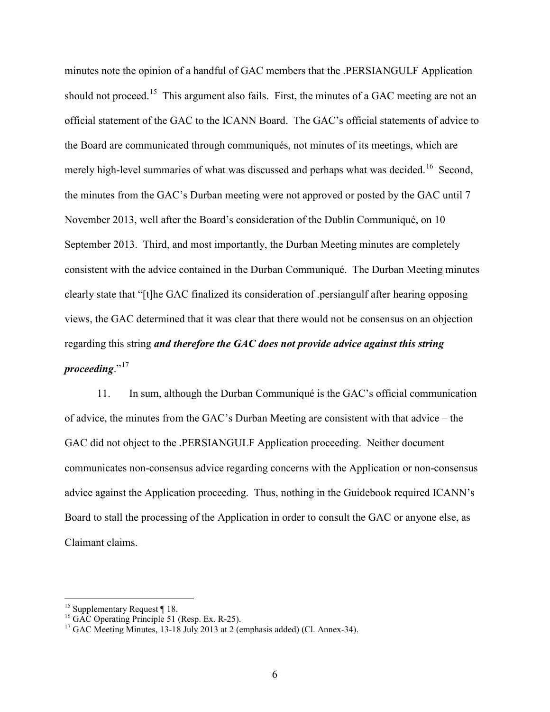minutes note the opinion of a handful of GAC members that the .PERSIANGULF Application should not proceed.<sup>15</sup> This argument also fails. First, the minutes of a GAC meeting are not an official statement of the GAC to the ICANN Board. The GAC's official statements of advice to the Board are communicated through communiqués, not minutes of its meetings, which are merely high-level summaries of what was discussed and perhaps what was decided.<sup>16</sup> Second, the minutes from the GAC's Durban meeting were not approved or posted by the GAC until 7 November 2013, well after the Board's consideration of the Dublin Communiqué, on 10 September 2013. Third, and most importantly, the Durban Meeting minutes are completely consistent with the advice contained in the Durban Communiqué. The Durban Meeting minutes clearly state that "[t]he GAC finalized its consideration of .persiangulf after hearing opposing views, the GAC determined that it was clear that there would not be consensus on an objection regarding this string *and therefore the GAC does not provide advice against this string proceeding*."[17](#page-7-2)

11. In sum, although the Durban Communiqué is the GAC's official communication of advice, the minutes from the GAC's Durban Meeting are consistent with that advice – the GAC did not object to the .PERSIANGULF Application proceeding. Neither document communicates non-consensus advice regarding concerns with the Application or non-consensus advice against the Application proceeding. Thus, nothing in the Guidebook required ICANN's Board to stall the processing of the Application in order to consult the GAC or anyone else, as Claimant claims.

<span id="page-7-2"></span><span id="page-7-1"></span>

<span id="page-7-0"></span><sup>&</sup>lt;sup>15</sup> Supplementary Request ¶ 18.<br><sup>16</sup> GAC Operating Principle 51 (Resp. Ex. R-25).<br><sup>17</sup> GAC Meeting Minutes, 13-18 July 2013 at 2 (emphasis added) (Cl. Annex-34).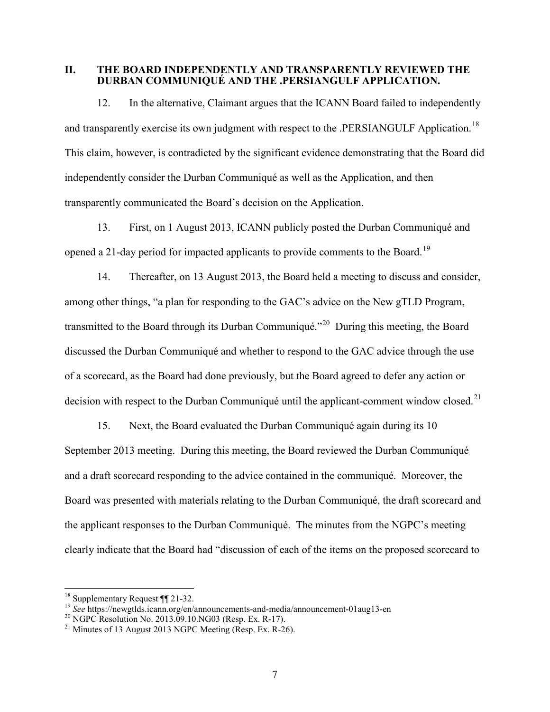#### **II. THE BOARD INDEPENDENTLY AND TRANSPARENTLY REVIEWED THE DURBAN COMMUNIQUÉ AND THE .PERSIANGULF APPLICATION.**

12. In the alternative, Claimant argues that the ICANN Board failed to independently and transparently exercise its own judgment with respect to the .PERSIANGULF Application.<sup>18</sup> This claim, however, is contradicted by the significant evidence demonstrating that the Board did independently consider the Durban Communiqué as well as the Application, and then transparently communicated the Board's decision on the Application.

13. First, on 1 August 2013, ICANN publicly posted the Durban Communiqué and opened a 21-day period for impacted applicants to provide comments to the Board.<sup>[19](#page-8-1)</sup>

14. Thereafter, on 13 August 2013, the Board held a meeting to discuss and consider, among other things, "a plan for responding to the GAC's advice on the New gTLD Program, transmitted to the Board through its Durban Communiqué."[20](#page-8-2) During this meeting, the Board discussed the Durban Communiqué and whether to respond to the GAC advice through the use of a scorecard, as the Board had done previously, but the Board agreed to defer any action or decision with respect to the Durban Communiqué until the applicant-comment window closed.<sup>[21](#page-8-3)</sup>

15. Next, the Board evaluated the Durban Communiqué again during its 10 September 2013 meeting. During this meeting, the Board reviewed the Durban Communiqué and a draft scorecard responding to the advice contained in the communiqué. Moreover, the Board was presented with materials relating to the Durban Communiqué, the draft scorecard and the applicant responses to the Durban Communiqué. The minutes from the NGPC's meeting clearly indicate that the Board had "discussion of each of the items on the proposed scorecard to

<span id="page-8-1"></span><span id="page-8-0"></span><sup>&</sup>lt;sup>18</sup> Supplementary Request  $\P$  21-32.<br><sup>19</sup> See https://newgtlds.icann.org/en/announcements-and-media/announcement-01aug13-en<br><sup>20</sup> NGPC Resolution No. 2013.09.10.NG03 (Resp. Ex. R-17).<br><sup>21</sup> Minutes of 13 August 2013 NGPC M

<span id="page-8-2"></span>

<span id="page-8-3"></span>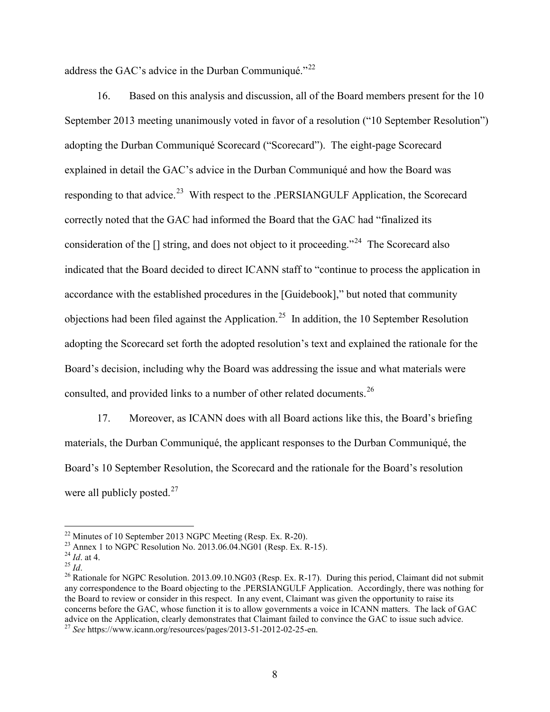address the GAC's advice in the Durban Communiqué."<sup>[22](#page-9-0)</sup>

16. Based on this analysis and discussion, all of the Board members present for the 10 September 2013 meeting unanimously voted in favor of a resolution ("10 September Resolution") adopting the Durban Communiqué Scorecard ("Scorecard"). The eight-page Scorecard explained in detail the GAC's advice in the Durban Communiqué and how the Board was responding to that advice.<sup>23</sup> With respect to the .PERSIANGULF Application, the Scorecard correctly noted that the GAC had informed the Board that the GAC had "finalized its consideration of the  $\Box$  string, and does not object to it proceeding."<sup>24</sup> The Scorecard also indicated that the Board decided to direct ICANN staff to "continue to process the application in accordance with the established procedures in the [Guidebook]," but noted that community objections had been filed against the Application.<sup>[25](#page-9-3)</sup> In addition, the 10 September Resolution adopting the Scorecard set forth the adopted resolution's text and explained the rationale for the Board's decision, including why the Board was addressing the issue and what materials were consulted, and provided links to a number of other related documents.<sup>26</sup>

17. Moreover, as ICANN does with all Board actions like this, the Board's briefing materials, the Durban Communiqué, the applicant responses to the Durban Communiqué, the Board's 10 September Resolution, the Scorecard and the rationale for the Board's resolution were all publicly posted. $27$ 

<span id="page-9-2"></span>

<span id="page-9-4"></span><span id="page-9-3"></span>

<span id="page-9-1"></span><span id="page-9-0"></span><sup>&</sup>lt;sup>22</sup> Minutes of 10 September 2013 NGPC Meeting (Resp. Ex. R-20).<br>
<sup>23</sup> Annex 1 to NGPC Resolution No. 2013.06.04.NG01 (Resp. Ex. R-15).<br>
<sup>24</sup> *Id.* at 4.<br>
<sup>25</sup> *Id.*<br>
<sup>26</sup> Rationale for NGPC Resolution. 2013.09.10.NG03 (R any correspondence to the Board objecting to the .PERSIANGULF Application. Accordingly, there was nothing for the Board to review or consider in this respect. In any event, Claimant was given the opportunity to raise its concerns before the GAC, whose function it is to allow governments a voice in ICANN matters. The lack of GAC

<span id="page-9-5"></span>advice on the Application, convince that Claimant failed to the Gaccal to the Gaccal to issue such an advice to issue such advice. 27 *See https://www.icann.org/resources/pages/2013-51-2012-02-25-en.*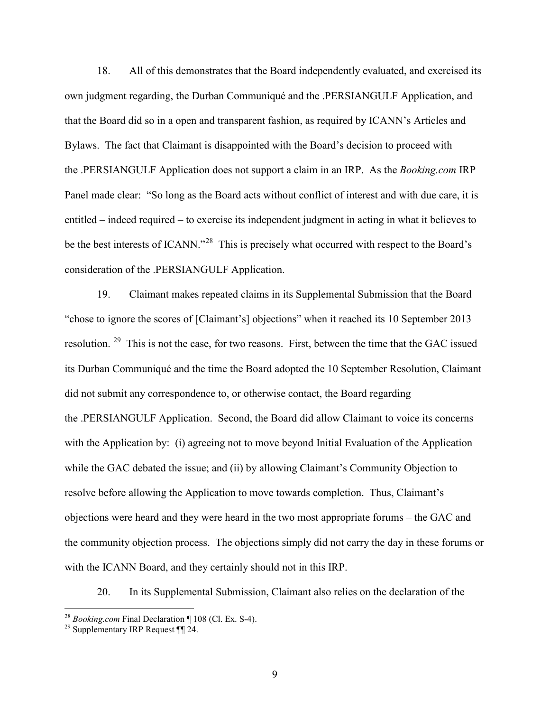18. All of this demonstrates that the Board independently evaluated, and exercised its own judgment regarding, the Durban Communiqué and the .PERSIANGULF Application, and that the Board did so in a open and transparent fashion, as required by ICANN's Articles and Bylaws. The fact that Claimant is disappointed with the Board's decision to proceed with the .PERSIANGULF Application does not support a claim in an IRP. As the *Booking.com* IRP Panel made clear: "So long as the Board acts without conflict of interest and with due care, it is entitled – indeed required – to exercise its independent judgment in acting in what it believes to be the best interests of ICANN."<sup>[28](#page-10-0)</sup> This is precisely what occurred with respect to the Board's consideration of the .PERSIANGULF Application.

19. Claimant makes repeated claims in its Supplemental Submission that the Board "chose to ignore the scores of [Claimant's] objections" when it reached its 10 September 2013 resolution. [29](#page-10-1) This is not the case, for two reasons. First, between the time that the GAC issued its Durban Communiqué and the time the Board adopted the 10 September Resolution, Claimant did not submit any correspondence to, or otherwise contact, the Board regarding the .PERSIANGULF Application. Second, the Board did allow Claimant to voice its concerns with the Application by: (i) agreeing not to move beyond Initial Evaluation of the Application while the GAC debated the issue; and (ii) by allowing Claimant's Community Objection to resolve before allowing the Application to move towards completion. Thus, Claimant's objections were heard and they were heard in the two most appropriate forums – the GAC and the community objection process. The objections simply did not carry the day in these forums or with the ICANN Board, and they certainly should not in this IRP.

20. In its Supplemental Submission, Claimant also relies on the declaration of the

<span id="page-10-1"></span><span id="page-10-0"></span><sup>&</sup>lt;sup>28</sup> *Booking.com* Final Declaration ¶ 108 (Cl. Ex. S-4).<br><sup>29</sup> Supplementary IRP Request ¶¶ 24.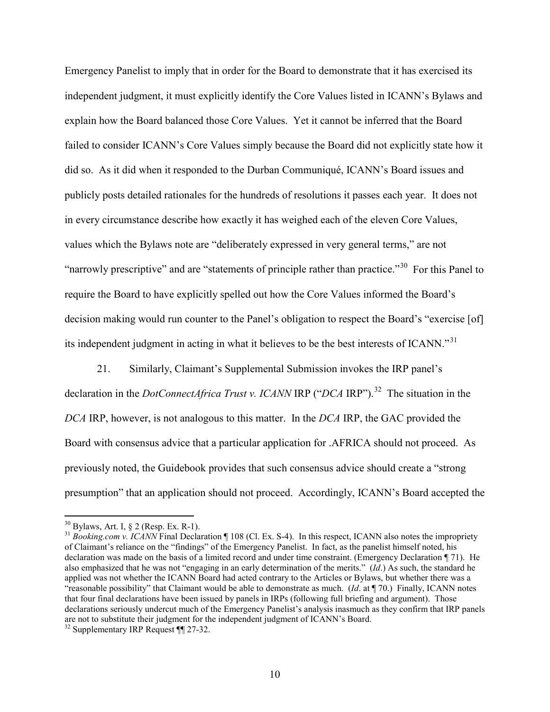Emergency Panelist to imply that in order for the Board to demonstrate that it has exercised its independent judgment, it must explicitly identify the Core Values listed in ICANN's Bylaws and explain how the Board balanced those Core Values. Yet it cannot be inferred that the Board failed to consider ICANN's Core Values simply because the Board did not explicitly state how it did so. As it did when it responded to the Durban Communiqué, ICANN's Board issues and publicly posts detailed rationales for the hundreds of resolutions it passes each year. It does not in every circumstance describe how exactly it has weighed each of the eleven Core Values, values which the Bylaws note are "deliberately expressed in very general terms," are not "narrowly prescriptive" and are "statements of principle rather than practice."<sup>30</sup> For this Panel to require the Board to have explicitly spelled out how the Core Values informed the Board's decision making would run counter to the Panel's obligation to respect the Board's "exercise [of] its independent judgment in acting in what it believes to be the best interests of ICANN."<sup>[31](#page-11-1)</sup>

21. Similarly, Claimant's Supplemental Submission invokes the IRP panel's declaration in the *DotConnectAfrica Trust v. ICANN* IRP ("*DCA* IRP").<sup>32</sup> The situation in the *DCA* IRP, however, is not analogous to this matter. In the *DCA* IRP, the GAC provided the Board with consensus advice that a particular application for .AFRICA should not proceed. As previously noted, the Guidebook provides that such consensus advice should create a "strong presumption" that an application should not proceed. Accordingly, ICANN's Board accepted the

<span id="page-11-1"></span><span id="page-11-0"></span><sup>&</sup>lt;sup>30</sup> Bylaws, Art. I, § 2 (Resp. Ex. R-1).<br><sup>31</sup> *Booking.com v. ICANN* Final Declaration ¶ 108 (Cl. Ex. S-4). In this respect, ICANN also notes the impropriety of Claimant's reliance on the "findings" of the Emergency Panelist. In fact, as the panelist himself noted, his declaration was made on the basis of a limited record and under time constraint. (Emergency Declaration ¶ 71). He also emphasized that he was not "engaging in an early determination of the merits." (*Id*.) As such, the standard he applied was not whether the ICANN Board had acted contrary to the Articles or Bylaws, but whether there was a "reasonable possibility" that Claimant would be able to demonstrate as much. (*Id*. at ¶ 70.) Finally, ICANN notes that four final declarations have been issued by panels in IRPs (following full briefing and argument). Those declarations seriously undercut much of the Emergency Panelist's analysis inasmuch as they confirm that IRP panels are not to substitute their judgment for the independent judgment of ICANN's Board.

<span id="page-11-2"></span><sup>&</sup>lt;sup>32</sup> Supplementary IRP Request ¶¶ 27-32.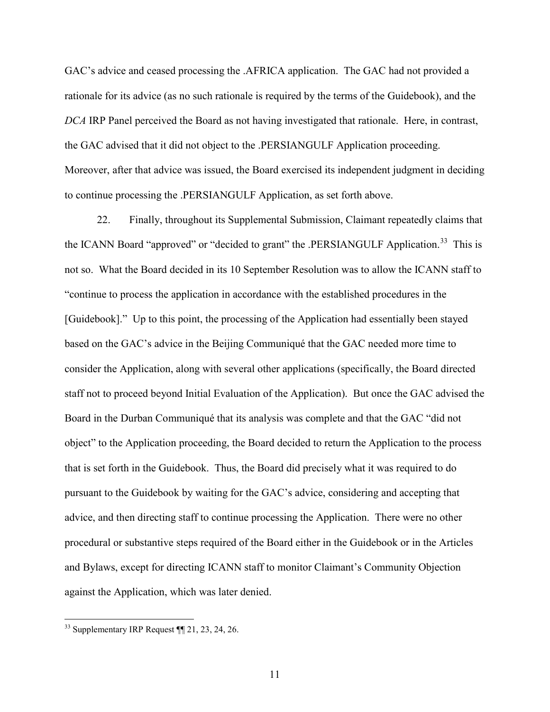GAC's advice and ceased processing the .AFRICA application. The GAC had not provided a rationale for its advice (as no such rationale is required by the terms of the Guidebook), and the *DCA* IRP Panel perceived the Board as not having investigated that rationale. Here, in contrast, the GAC advised that it did not object to the .PERSIANGULF Application proceeding. Moreover, after that advice was issued, the Board exercised its independent judgment in deciding to continue processing the .PERSIANGULF Application, as set forth above.

22. Finally, throughout its Supplemental Submission, Claimant repeatedly claims that the ICANN Board "approved" or "decided to grant" the .PERSIANGULF Application.<sup>[33](#page-12-0)</sup> This is not so. What the Board decided in its 10 September Resolution was to allow the ICANN staff to "continue to process the application in accordance with the established procedures in the [Guidebook]." Up to this point, the processing of the Application had essentially been stayed based on the GAC's advice in the Beijing Communiqué that the GAC needed more time to consider the Application, along with several other applications (specifically, the Board directed staff not to proceed beyond Initial Evaluation of the Application). But once the GAC advised the Board in the Durban Communiqué that its analysis was complete and that the GAC "did not object" to the Application proceeding, the Board decided to return the Application to the process that is set forth in the Guidebook. Thus, the Board did precisely what it was required to do pursuant to the Guidebook by waiting for the GAC's advice, considering and accepting that advice, and then directing staff to continue processing the Application. There were no other procedural or substantive steps required of the Board either in the Guidebook or in the Articles and Bylaws, except for directing ICANN staff to monitor Claimant's Community Objection against the Application, which was later denied.

<span id="page-12-0"></span> $33$  Supplementary IRP Request  $\P$ [121, 23, 24, 26.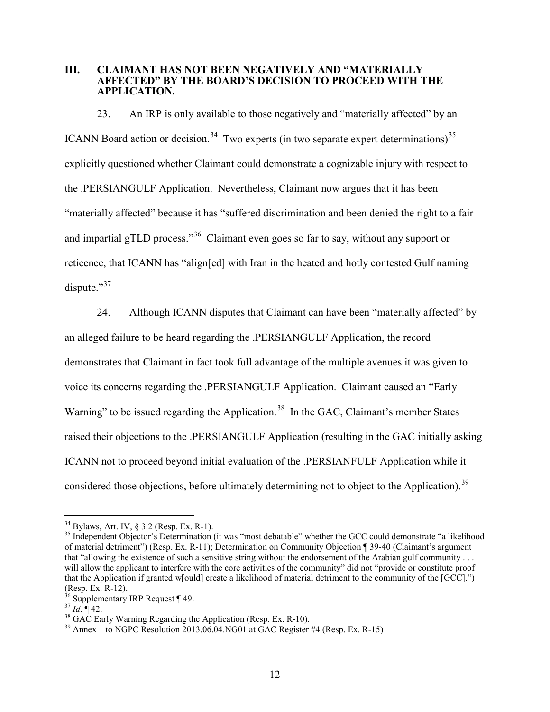#### **III. CLAIMANT HAS NOT BEEN NEGATIVELY AND "MATERIALLY AFFECTED" BY THE BOARD'S DECISION TO PROCEED WITH THE APPLICATION.**

23. An IRP is only available to those negatively and "materially affected" by an ICANN Board action or decision.<sup>[34](#page-13-0)</sup> Two experts (in two separate expert determinations)<sup>[35](#page-13-1)</sup> explicitly questioned whether Claimant could demonstrate a cognizable injury with respect to the .PERSIANGULF Application. Nevertheless, Claimant now argues that it has been "materially affected" because it has "suffered discrimination and been denied the right to a fair and impartial gTLD process."<sup>[36](#page-13-2)</sup> Claimant even goes so far to say, without any support or reticence, that ICANN has "align[ed] with Iran in the heated and hotly contested Gulf naming dispute."<sup>37</sup>

24. Although ICANN disputes that Claimant can have been "materially affected" by an alleged failure to be heard regarding the .PERSIANGULF Application, the record demonstrates that Claimant in fact took full advantage of the multiple avenues it was given to voice its concerns regarding the .PERSIANGULF Application. Claimant caused an "Early Warning" to be issued regarding the Application.<sup>38</sup> In the GAC, Claimant's member States raised their objections to the .PERSIANGULF Application (resulting in the GAC initially asking ICANN not to proceed beyond initial evaluation of the .PERSIANFULF Application while it considered those objections, before ultimately determining not to object to the Application).<sup>[39](#page-13-5)</sup>

<span id="page-13-1"></span><span id="page-13-0"></span> $34$  Bylaws, Art. IV, § 3.2 (Resp. Ex. R-1).<br><sup>35</sup> Independent Objector's Determination (it was "most debatable" whether the GCC could demonstrate "a likelihood of material detriment") (Resp. Ex. R-11); Determination on Community Objection ¶ 39-40 (Claimant's argument that "allowing the existence of such a sensitive string without the endorsement of the Arabian gulf community . . . will allow the applicant to interfere with the core activities of the community" did not "provide or constitute proof that the Application if granted w[ould] create a likelihood of material detriment to the community of the [GCC].") (Resp. Ex. R-12).

<span id="page-13-3"></span>

<span id="page-13-5"></span><span id="page-13-4"></span>

<span id="page-13-2"></span><sup>&</sup>lt;sup>36</sup> Supplementary IRP Request ¶ 49.<br><sup>37</sup> *Id*. ¶ 42.<br><sup>38</sup> GAC Early Warning Regarding the Application (Resp. Ex. R-10).<br><sup>39</sup> Annex 1 to NGPC Resolution 2013.06.04.NG01 at GAC Register #4 (Resp. Ex. R-15)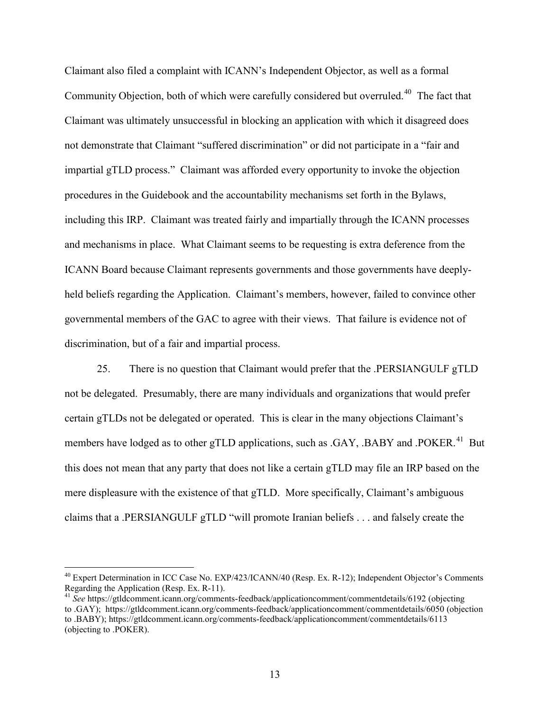Claimant also filed a complaint with ICANN's Independent Objector, as well as a formal Community Objection, both of which were carefully considered but overruled.<sup>[40](#page-14-0)</sup> The fact that Claimant was ultimately unsuccessful in blocking an application with which it disagreed does not demonstrate that Claimant "suffered discrimination" or did not participate in a "fair and impartial gTLD process." Claimant was afforded every opportunity to invoke the objection procedures in the Guidebook and the accountability mechanisms set forth in the Bylaws, including this IRP. Claimant was treated fairly and impartially through the ICANN processes and mechanisms in place. What Claimant seems to be requesting is extra deference from the ICANN Board because Claimant represents governments and those governments have deeplyheld beliefs regarding the Application. Claimant's members, however, failed to convince other governmental members of the GAC to agree with their views. That failure is evidence not of discrimination, but of a fair and impartial process.

25. There is no question that Claimant would prefer that the .PERSIANGULF gTLD not be delegated. Presumably, there are many individuals and organizations that would prefer certain gTLDs not be delegated or operated. This is clear in the many objections Claimant's members have lodged as to other gTLD applications, such as .GAY, .BABY and .POKER.<sup>[41](#page-14-1)</sup> But this does not mean that any party that does not like a certain gTLD may file an IRP based on the mere displeasure with the existence of that gTLD. More specifically, Claimant's ambiguous claims that a .PERSIANGULF gTLD "will promote Iranian beliefs . . . and falsely create the

<span id="page-14-0"></span><sup>&</sup>lt;sup>40</sup> Expert Determination in ICC Case No. EXP/423/ICANN/40 (Resp. Ex. R-12); Independent Objector's Comments Regarding the Application (Resp. Ex. R-11).

<span id="page-14-1"></span><sup>&</sup>lt;sup>41</sup> See https://gtldcomment.icann.org/comments-feedback/applicationcomment/commentdetails/6192 (objecting to .GAY); https://gtldcomment.icann.org/comments-feedback/applicationcomment/commentdetails/6050 (objection to .BABY); https://gtldcomment.icann.org/comments-feedback/applicationcomment/commentdetails/6113 (objecting to .POKER).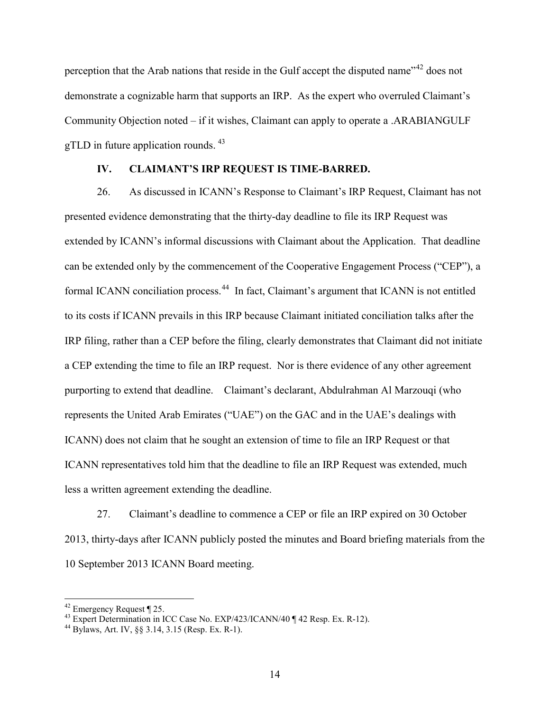perception that the Arab nations that reside in the Gulf accept the disputed name<sup>"[42](#page-15-0)</sup> does not demonstrate a cognizable harm that supports an IRP. As the expert who overruled Claimant's Community Objection noted – if it wishes, Claimant can apply to operate a .ARABIANGULF gTLD in future application rounds.  $43$ 

#### **IV. CLAIMANT'S IRP REQUEST IS TIME-BARRED.**

26. As discussed in ICANN's Response to Claimant's IRP Request, Claimant has not presented evidence demonstrating that the thirty-day deadline to file its IRP Request was extended by ICANN's informal discussions with Claimant about the Application. That deadline can be extended only by the commencement of the Cooperative Engagement Process ("CEP"), a formal ICANN conciliation process.<sup>[44](#page-15-2)</sup> In fact, Claimant's argument that ICANN is not entitled to its costs if ICANN prevails in this IRP because Claimant initiated conciliation talks after the IRP filing, rather than a CEP before the filing, clearly demonstrates that Claimant did not initiate a CEP extending the time to file an IRP request. Nor is there evidence of any other agreement purporting to extend that deadline. Claimant's declarant, Abdulrahman Al Marzouqi (who represents the United Arab Emirates ("UAE") on the GAC and in the UAE's dealings with ICANN) does not claim that he sought an extension of time to file an IRP Request or that ICANN representatives told him that the deadline to file an IRP Request was extended, much less a written agreement extending the deadline.

27. Claimant's deadline to commence a CEP or file an IRP expired on 30 October 2013, thirty-days after ICANN publicly posted the minutes and Board briefing materials from the 10 September 2013 ICANN Board meeting.

<span id="page-15-1"></span><span id="page-15-0"></span><sup>&</sup>lt;sup>42</sup> Emergency Request ¶ 25.<br><sup>43</sup> Expert Determination in ICC Case No. EXP/423/ICANN/40 ¶ 42 Resp. Ex. R-12).<br><sup>44</sup> Bylaws, Art. IV, §§ 3.14, 3.15 (Resp. Ex. R-1).

<span id="page-15-2"></span>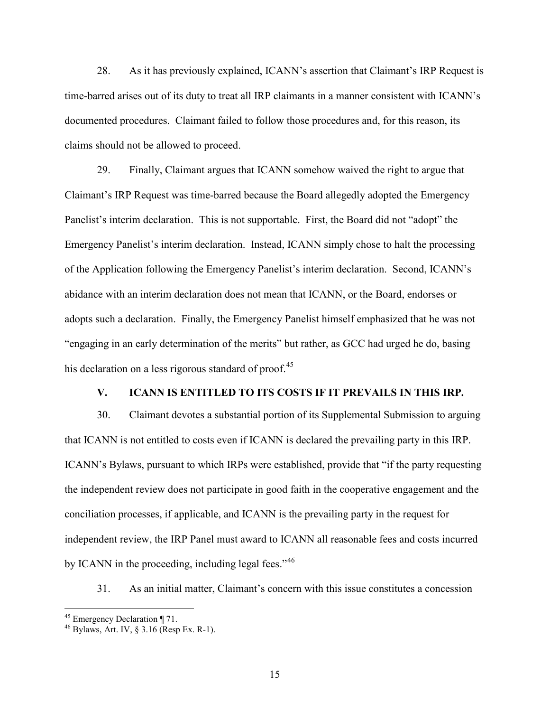28. As it has previously explained, ICANN's assertion that Claimant's IRP Request is time-barred arises out of its duty to treat all IRP claimants in a manner consistent with ICANN's documented procedures. Claimant failed to follow those procedures and, for this reason, its claims should not be allowed to proceed.

29. Finally, Claimant argues that ICANN somehow waived the right to argue that Claimant's IRP Request was time-barred because the Board allegedly adopted the Emergency Panelist's interim declaration. This is not supportable. First, the Board did not "adopt" the Emergency Panelist's interim declaration. Instead, ICANN simply chose to halt the processing of the Application following the Emergency Panelist's interim declaration. Second, ICANN's abidance with an interim declaration does not mean that ICANN, or the Board, endorses or adopts such a declaration. Finally, the Emergency Panelist himself emphasized that he was not "engaging in an early determination of the merits" but rather, as GCC had urged he do, basing his declaration on a less rigorous standard of proof. $45$ 

# **V. ICANN IS ENTITLED TO ITS COSTS IF IT PREVAILS IN THIS IRP.**

30. Claimant devotes a substantial portion of its Supplemental Submission to arguing that ICANN is not entitled to costs even if ICANN is declared the prevailing party in this IRP. ICANN's Bylaws, pursuant to which IRPs were established, provide that "if the party requesting the independent review does not participate in good faith in the cooperative engagement and the conciliation processes, if applicable, and ICANN is the prevailing party in the request for independent review, the IRP Panel must award to ICANN all reasonable fees and costs incurred by ICANN in the proceeding, including legal fees."<sup>[46](#page-16-1)</sup>

31. As an initial matter, Claimant's concern with this issue constitutes a concession

<span id="page-16-1"></span><span id="page-16-0"></span><sup>&</sup>lt;sup>45</sup> Emergency Declaration ¶ 71.<br><sup>46</sup> Bylaws, Art. IV, § 3.16 (Resp Ex. R-1).